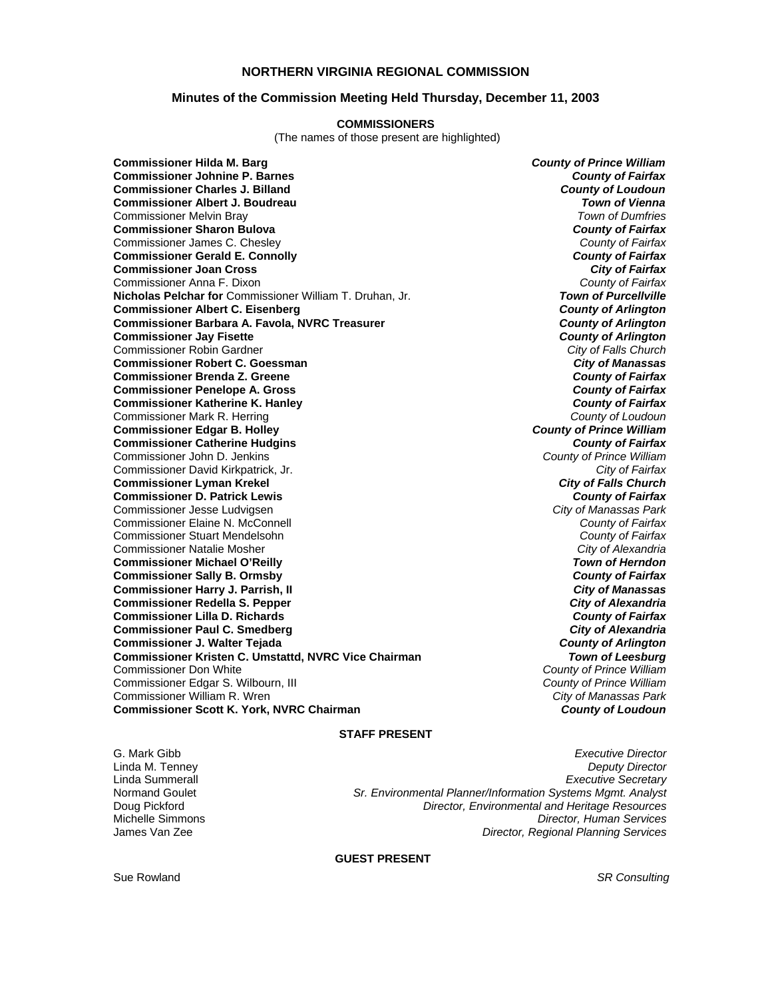## **NORTHERN VIRGINIA REGIONAL COMMISSION**

#### **Minutes of the Commission Meeting Held Thursday, December 11, 2003**

#### **COMMISSIONERS**

(The names of those present are highlighted)

**Commissioner Hilda M. Barg** *County of Prince William* **Commissioner Johnine P. Barnes** *County of Fairfax* **Commissioner Charles J. Billand** *County of Loudoun* **Commissioner Albert J. Boudreau** *Town of Vienna* Commissioner Melvin Bray *Town of Dumfries* **Commissioner Sharon Bulova** *County of Fairfax* Commissioner James C. Chesley *County of Fairfax* **Commissioner Gerald E. Connolly** *County of Fairfax* **Commissioner Joan Cross** *City of Fairfax* Commissioner Anna F. Dixon *County of Fairfax* **Nicholas Pelchar for Commissioner William T. Druhan, Jr. Commissioner Albert C. Eisenberg** *County of Arlington* **Commissioner Barbara A. Favola, NVRC Treasurer** *County of Arlington* **Commissioner Jay Fisette** *County of Arlington* Commissioner Robin Gardner *City of Falls Church* **Commissioner Robert C. Goessman** *City of Manassas* **Commissioner Brenda Z. Greene** *County of Fairfax* **Commissioner Penelope A. Gross** *County of Fairfax* **Commissioner Katherine K. Hanley** *County of Fairfax* Commissioner Mark R. Herring *County of Loudoun* **Commissioner Edgar B. Holley** *County of Prince William* **Commissioner Catherine Hudgins** *County of Fairfax* Commissioner John D. Jenkins *County of Prince William* Commissioner David Kirkpatrick, Jr. *City of Fairfax* **Commissioner Lyman Krekel** *City of Falls Church* **Commissioner D. Patrick Lewis** *County of Fairfax* Commissioner Jesse Ludvigsen *City of Manassas Park* Commissioner Elaine N. McConnell *County of Fairfax* Commissioner Stuart Mendelsohn *County of Fairfax* Commissioner Natalie Mosher *City of Alexandria* **Commissioner Michael O'Reilly** *Town of Herndon* **Commissioner Sally B. Ormsby Commissioner Harry J. Parrish, II** *City of Manassas* **Commissioner Redella S. Pepper** *City of Alexandria* **Commissioner Lilla D. Richards** *County of Fairfax* **Commissioner Paul C. Smedberg** *City of Alexandria* **Commissioner J. Walter Tejada** *County of Arlington* **Commissioner Kristen C. Umstattd, NVRC Vice Chairman** *Town of Leesburg* Commissioner Don White *County of Prince William* Commissioner Edgar S. Wilbourn, III *County of Prince William* Commissioner William R. Wren *City of Manassas Park* **Commissioner Scott K. York, NVRC Chairman** *County of Loudoun*

## **STAFF PRESENT**

G. Mark Gibb *Executive Director*

Linda M. Tenney *Deputy Director* Linda Summerall *Executive Secretary* Normand Goulet *Sr. Environmental Planner/Information Systems Mgmt. Analyst* Doug Pickford *Director, Environmental and Heritage Resources* Michelle Simmons *Director, Human Services* **Director, Regional Planning Services** 

#### **GUEST PRESENT**

Sue Rowland *SR Consulting*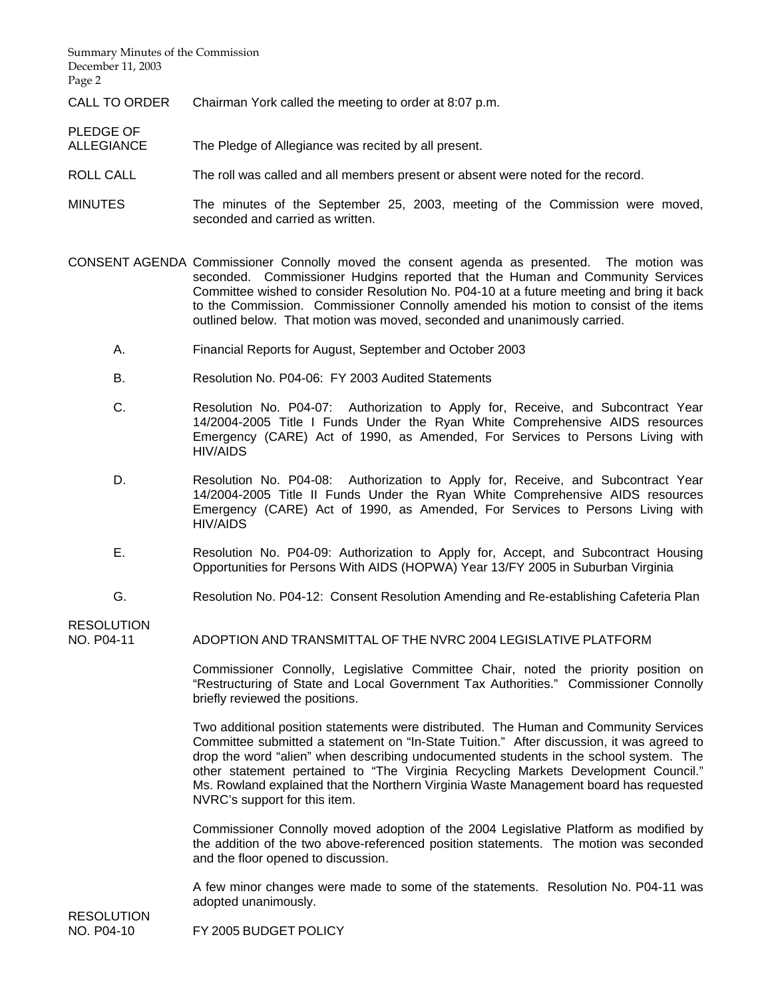Summary Minutes of the Commission December 11, 2003 Page 2

CALL TO ORDER Chairman York called the meeting to order at 8:07 p.m.

PLEDGE OF<br>ALLEGIANCE The Pledge of Allegiance was recited by all present.

- ROLL CALL The roll was called and all members present or absent were noted for the record.
- MINUTES The minutes of the September 25, 2003, meeting of the Commission were moved, seconded and carried as written.

CONSENT AGENDA Commissioner Connolly moved the consent agenda as presented. The motion was seconded. Commissioner Hudgins reported that the Human and Community Services Committee wished to consider Resolution No. P04-10 at a future meeting and bring it back to the Commission. Commissioner Connolly amended his motion to consist of the items outlined below. That motion was moved, seconded and unanimously carried.

- A. Financial Reports for August, September and October 2003
- B. Resolution No. P04-06: FY 2003 Audited Statements
- C. Resolution No. P04-07: Authorization to Apply for, Receive, and Subcontract Year 14/2004-2005 Title I Funds Under the Ryan White Comprehensive AIDS resources Emergency (CARE) Act of 1990, as Amended, For Services to Persons Living with HIV/AIDS
- D. Resolution No. P04-08: Authorization to Apply for, Receive, and Subcontract Year 14/2004-2005 Title II Funds Under the Ryan White Comprehensive AIDS resources Emergency (CARE) Act of 1990, as Amended, For Services to Persons Living with HIV/AIDS
- E. Resolution No. P04-09: Authorization to Apply for, Accept, and Subcontract Housing Opportunities for Persons With AIDS (HOPWA) Year 13/FY 2005 in Suburban Virginia
- G. Resolution No. P04-12: Consent Resolution Amending and Re-establishing Cafeteria Plan

**RESOLUTION** 

NO. P04-11 ADOPTION AND TRANSMITTAL OF THE NVRC 2004 LEGISLATIVE PLATFORM

 Commissioner Connolly, Legislative Committee Chair, noted the priority position on "Restructuring of State and Local Government Tax Authorities." Commissioner Connolly briefly reviewed the positions.

 Two additional position statements were distributed. The Human and Community Services Committee submitted a statement on "In-State Tuition." After discussion, it was agreed to drop the word "alien" when describing undocumented students in the school system. The other statement pertained to "The Virginia Recycling Markets Development Council." Ms. Rowland explained that the Northern Virginia Waste Management board has requested NVRC's support for this item.

 Commissioner Connolly moved adoption of the 2004 Legislative Platform as modified by the addition of the two above-referenced position statements. The motion was seconded and the floor opened to discussion.

 A few minor changes were made to some of the statements. Resolution No. P04-11 was adopted unanimously.